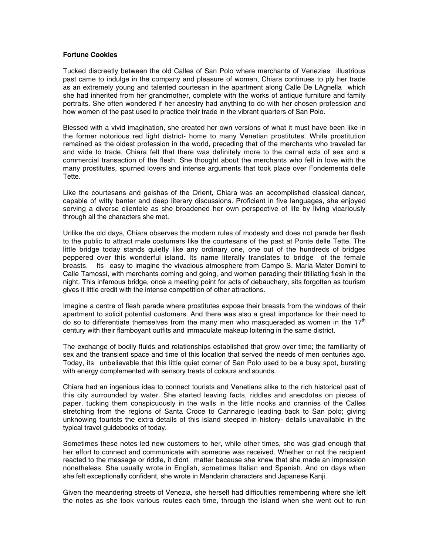## **Fortune Cookies**

Tucked discreetly between the old Calles of San Polo where merchants of Venezias illustrious past came to indulge in the company and pleasure of women, Chiara continues to ply her trade as an extremely young and talented courtesan in the apartment along Calle De LAgnella which she had inherited from her grandmother, complete with the works of antique furniture and family portraits. She often wondered if her ancestry had anything to do with her chosen profession and how women of the past used to practice their trade in the vibrant quarters of San Polo.

Blessed with a vivid imagination, she created her own versions of what it must have been like in the former notorious red light district- home to many Venetian prostitutes. While prostitution remained as the oldest profession in the world, preceding that of the merchants who traveled far and wide to trade, Chiara felt that there was definitely more to the carnal acts of sex and a commercial transaction of the flesh. She thought about the merchants who fell in love with the many prostitutes, spurned lovers and intense arguments that took place over Fondementa delle Tette.

Like the courtesans and geishas of the Orient, Chiara was an accomplished classical dancer, capable of witty banter and deep literary discussions. Proficient in five languages, she enjoyed serving a diverse clientele as she broadened her own perspective of life by living vicariously through all the characters she met.

Unlike the old days, Chiara observes the modern rules of modesty and does not parade her flesh to the public to attract male costumers like the courtesans of the past at Ponte delle Tette. The little bridge today stands quietly like any ordinary one, one out of the hundreds of bridges peppered over this wonderful island. Its name literally translates to bridge of the female breasts. Its easy to imagine the vivacious atmosphere from Campo S. Maria Mater Domini to Calle Tamossi, with merchants coming and going, and women parading their titillating flesh in the night. This infamous bridge, once a meeting point for acts of debauchery, sits forgotten as tourism gives it little credit with the intense competition of other attractions.

Imagine a centre of flesh parade where prostitutes expose their breasts from the windows of their apartment to solicit potential customers. And there was also a great importance for their need to do so to differentiate themselves from the many men who masqueraded as women in the  $17<sup>th</sup>$ century with their flamboyant outfits and immaculate makeup loitering in the same district.

The exchange of bodily fluids and relationships established that grow over time; the familiarity of sex and the transient space and time of this location that served the needs of men centuries ago. Today, its unbelievable that this little quiet corner of San Polo used to be a busy spot, bursting with energy complemented with sensory treats of colours and sounds.

Chiara had an ingenious idea to connect tourists and Venetians alike to the rich historical past of this city surrounded by water. She started leaving facts, riddles and anecdotes on pieces of paper, tucking them conspicuously in the walls in the little nooks and crannies of the Calles stretching from the regions of Santa Croce to Cannaregio leading back to San polo; giving unknowing tourists the extra details of this island steeped in history- details unavailable in the typical travel guidebooks of today.

Sometimes these notes led new customers to her, while other times, she was glad enough that her effort to connect and communicate with someone was received. Whether or not the recipient reacted to the message or riddle, it didnt matter because she knew that she made an impression nonetheless. She usually wrote in English, sometimes Italian and Spanish. And on days when she felt exceptionally confident, she wrote in Mandarin characters and Japanese Kanji.

Given the meandering streets of Venezia, she herself had difficulties remembering where she left the notes as she took various routes each time, through the island when she went out to run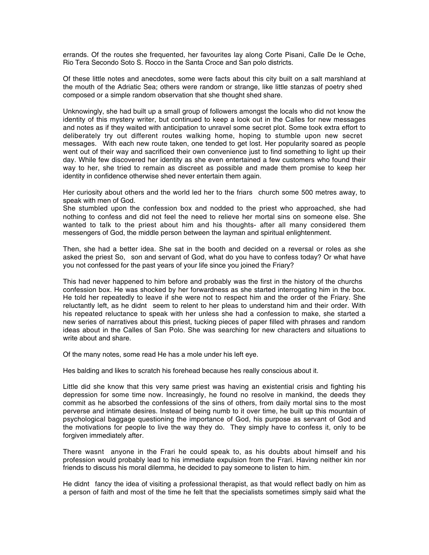errands. Of the routes she frequented, her favourites lay along Corte Pisani, Calle De le Oche, Rio Tera Secondo Soto S. Rocco in the Santa Croce and San polo districts.

Of these little notes and anecdotes, some were facts about this city built on a salt marshland at the mouth of the Adriatic Sea; others were random or strange, like little stanzas of poetry shed composed or a simple random observation that she thought shed share.

Unknowingly, she had built up a small group of followers amongst the locals who did not know the identity of this mystery writer, but continued to keep a look out in the Calles for new messages and notes as if they waited with anticipation to unravel some secret plot. Some took extra effort to deliberately try out different routes walking home, hoping to stumble upon new secret messages. With each new route taken, one tended to get lost. Her popularity soared as people went out of their way and sacrificed their own convenience just to find something to light up their day. While few discovered her identity as she even entertained a few customers who found their way to her, she tried to remain as discreet as possible and made them promise to keep her identity in confidence otherwise shed never entertain them again.

Her curiosity about others and the world led her to the friars church some 500 metres away, to speak with men of God.

She stumbled upon the confession box and nodded to the priest who approached, she had nothing to confess and did not feel the need to relieve her mortal sins on someone else. She wanted to talk to the priest about him and his thoughts- after all many considered them messengers of God, the middle person between the layman and spiritual enlightenment.

Then, she had a better idea. She sat in the booth and decided on a reversal or roles as she asked the priest So, son and servant of God, what do you have to confess today? Or what have you not confessed for the past years of your life since you joined the Friary?

This had never happened to him before and probably was the first in the history of the churchs confession box. He was shocked by her forwardness as she started interrogating him in the box. He told her repeatedly to leave if she were not to respect him and the order of the Friary. She reluctantly left, as he didnt seem to relent to her pleas to understand him and their order. With his repeated reluctance to speak with her unless she had a confession to make, she started a new series of narratives about this priest, tucking pieces of paper filled with phrases and random ideas about in the Calles of San Polo. She was searching for new characters and situations to write about and share.

Of the many notes, some read He has a mole under his left eye.

Hes balding and likes to scratch his forehead because hes really conscious about it.

Little did she know that this very same priest was having an existential crisis and fighting his depression for some time now. Increasingly, he found no resolve in mankind, the deeds they commit as he absorbed the confessions of the sins of others, from daily mortal sins to the most perverse and intimate desires. Instead of being numb to it over time, he built up this mountain of psychological baggage questioning the importance of God, his purpose as servant of God and the motivations for people to live the way they do. They simply have to confess it, only to be forgiven immediately after.

There wasnt anyone in the Frari he could speak to, as his doubts about himself and his profession would probably lead to his immediate expulsion from the Frari. Having neither kin nor friends to discuss his moral dilemma, he decided to pay someone to listen to him.

He didnt fancy the idea of visiting a professional therapist, as that would reflect badly on him as a person of faith and most of the time he felt that the specialists sometimes simply said what the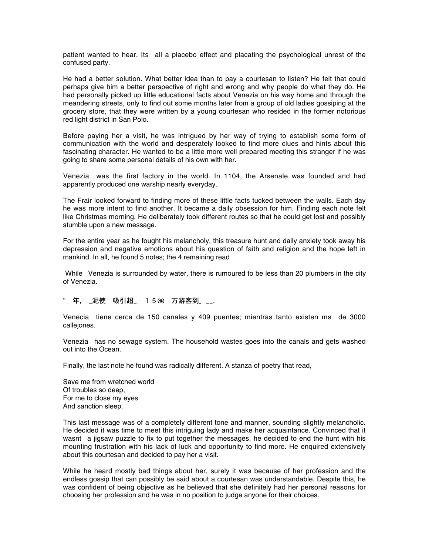patient wanted to hear. Its all a placebo effect and placating the psychological unrest of the confused party.

He had a better solution. What better idea than to pay a courtesan to listen? He felt that could perhaps give him a better perspective of right and wrong and why people do what they do. He had personally picked up little educational facts about Venezia on his way home and through the meandering streets, only to find out some months later from a group of old ladies gossiping at the grocery store, that they were written by a young courtesan who resided in the former notorious red light district in San Polo.

Before paying her a visit, he was intrigued by her way of trying to establish some form of communication with the world and desperately looked to find more clues and hints about this fascinating character. He wanted to be a little more well prepared meeting this stranger if he was going to share some personal details of his own with her.

Venezia was the first factory in the world. In 1104, the Arsenale was founded and had apparently produced one warship nearly everyday.

The Frair looked forward to finding more of these little facts tucked between the walls. Each day he was more intent to find another. It became a daily obsession for him. Finding each note felt like Christmas morning. He deliberately took different routes so that he could get lost and possibly stumble upon a new message.

For the entire year as he fought his melancholy, this treasure hunt and daily anxiety took away his depression and negative emotions about his question of faith and religion and the hope left in mankind. In all, he found 5 notes; the 4 remaining read

While Venezia is surrounded by water, there is rumoured to be less than 20 plumbers in the city of Venezia.

"\_ 年, \_泥使 吸引超\_ 1500 万游客到\_ \_\_.

Venecia tiene cerca de 150 canales y 409 puentes; mientras tanto existen ms de 3000 callejones.

Venezia has no sewage system. The household wastes goes into the canals and gets washed out into the Ocean.

Finally, the last note he found was radically different. A stanza of poetry that read,

Save me from wretched world Of troubles so deep, For me to close my eyes And sanction sleep.

This last message was of a completely different tone and manner, sounding slightly melancholic. He decided it was time to meet this intriguing lady and make her acquaintance. Convinced that it wasnt a jigsaw puzzle to fix to put together the messages, he decided to end the hunt with his mounting frustration with his lack of luck and opportunity to find more. He enquired extensively about this courtesan and decided to pay her a visit.

While he heard mostly bad things about her, surely it was because of her profession and the endless gossip that can possibly be said about a courtesan was understandable. Despite this, he was confident of being objective as he believed that she definitely had her personal reasons for choosing her profession and he was in no position to judge anyone for their choices.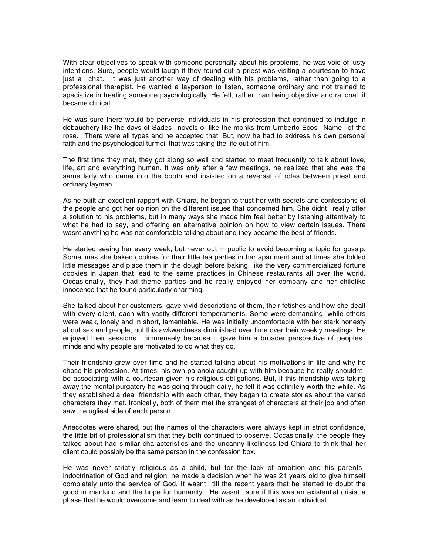With clear objectives to speak with someone personally about his problems, he was void of lusty intentions. Sure, people would laugh if they found out a priest was visiting a courtesan to have just a chat. It was just another way of dealing with his problems, rather than going to a professional therapist. He wanted a layperson to listen, someone ordinary and not trained to specialize in treating someone psychologically. He felt, rather than being objective and rational, it became clinical.

He was sure there would be perverse individuals in his profession that continued to indulge in debauchery like the days of Sades novels or like the monks from Umberto Ecos Name of the rose. There were all types and he accepted that. But, now he had to address his own personal faith and the psychological turmoil that was taking the life out of him.

The first time they met, they got along so well and started to meet frequently to talk about love, life, art and everything human. It was only after a few meetings, he realized that she was the same lady who came into the booth and insisted on a reversal of roles between priest and ordinary layman.

As he built an excellent rapport with Chiara, he began to trust her with secrets and confessions of the people and got her opinion on the different issues that concerned him. She didnt really offer a solution to his problems, but in many ways she made him feel better by listening attentively to what he had to say, and offering an alternative opinion on how to view certain issues. There wasnt anything he was not comfortable talking about and they became the best of friends.

He started seeing her every week, but never out in public to avoid becoming a topic for gossip. Sometimes she baked cookies for their little tea parties in her apartment and at times she folded little messages and place them in the dough before baking, like the very commercialized fortune cookies in Japan that lead to the same practices in Chinese restaurants all over the world. Occasionally, they had theme parties and he really enjoyed her company and her childlike innocence that he found particularly charming.

She talked about her customers, gave vivid descriptions of them, their fetishes and how she dealt with every client, each with vastly different temperaments. Some were demanding, while others were weak, lonely and in short, lamentable. He was initially uncomfortable with her stark honesty about sex and people, but this awkwardness diminished over time over their weekly meetings. He enjoyed their sessions immensely because it gave him a broader perspective of peoples minds and why people are motivated to do what they do.

Their friendship grew over time and he started talking about his motivations in life and why he chose his profession. At times, his own paranoia caught up with him because he really shouldnt be associating with a courtesan given his religious obligations. But, if this friendship was taking away the mental purgatory he was going through daily, he felt it was definitely worth the while. As they established a dear friendship with each other, they began to create stories about the varied characters they met. Ironically, both of them met the strangest of characters at their job and often saw the ugliest side of each person.

Anecdotes were shared, but the names of the characters were always kept in strict confidence, the little bit of professionalism that they both continued to observe. Occasionally, the people they talked about had similar characteristics and the uncanny likeliness led Chiara to think that her client could possibly be the same person in the confession box.

He was never strictly religious as a child, but for the lack of ambition and his parents indoctrination of God and religion, he made a decision when he was 21 years old to give himself completely unto the service of God. It wasnt till the recent years that he started to doubt the good in mankind and the hope for humanity. He wasnt sure if this was an existential crisis, a phase that he would overcome and learn to deal with as he developed as an individual.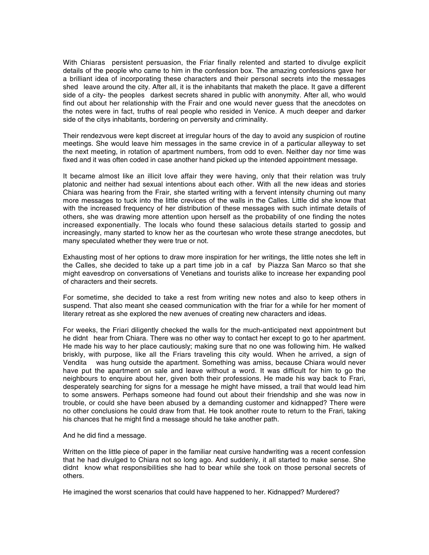With Chiaras persistent persuasion, the Friar finally relented and started to divulge explicit details of the people who came to him in the confession box. The amazing confessions gave her a brilliant idea of incorporating these characters and their personal secrets into the messages shed leave around the city. After all, it is the inhabitants that maketh the place. It gave a different side of a city- the peoples darkest secrets shared in public with anonymity. After all, who would find out about her relationship with the Frair and one would never guess that the anecdotes on the notes were in fact, truths of real people who resided in Venice. A much deeper and darker side of the citys inhabitants, bordering on perversity and criminality.

Their rendezvous were kept discreet at irregular hours of the day to avoid any suspicion of routine meetings. She would leave him messages in the same crevice in of a particular alleyway to set the next meeting, in rotation of apartment numbers, from odd to even. Neither day nor time was fixed and it was often coded in case another hand picked up the intended appointment message.

It became almost like an illicit love affair they were having, only that their relation was truly platonic and neither had sexual intentions about each other. With all the new ideas and stories Chiara was hearing from the Frair, she started writing with a fervent intensity churning out many more messages to tuck into the little crevices of the walls in the Calles. Little did she know that with the increased frequency of her distribution of these messages with such intimate details of others, she was drawing more attention upon herself as the probability of one finding the notes increased exponentially. The locals who found these salacious details started to gossip and increasingly, many started to know her as the courtesan who wrote these strange anecdotes, but many speculated whether they were true or not.

Exhausting most of her options to draw more inspiration for her writings, the little notes she left in the Calles, she decided to take up a part time job in a caf by Piazza San Marco so that she might eavesdrop on conversations of Venetians and tourists alike to increase her expanding pool of characters and their secrets.

For sometime, she decided to take a rest from writing new notes and also to keep others in suspend. That also meant she ceased communication with the friar for a while for her moment of literary retreat as she explored the new avenues of creating new characters and ideas.

For weeks, the Friari diligently checked the walls for the much-anticipated next appointment but he didnt hear from Chiara. There was no other way to contact her except to go to her apartment. He made his way to her place cautiously; making sure that no one was following him. He walked briskly, with purpose, like all the Friars traveling this city would. When he arrived, a sign of Vendita was hung outside the apartment. Something was amiss, because Chiara would never have put the apartment on sale and leave without a word. It was difficult for him to go the neighbours to enquire about her, given both their professions. He made his way back to Frari, desperately searching for signs for a message he might have missed, a trail that would lead him to some answers. Perhaps someone had found out about their friendship and she was now in trouble, or could she have been abused by a demanding customer and kidnapped? There were no other conclusions he could draw from that. He took another route to return to the Frari, taking his chances that he might find a message should he take another path.

## And he did find a message.

Written on the little piece of paper in the familiar neat cursive handwriting was a recent confession that he had divulged to Chiara not so long ago. And suddenly, it all started to make sense. She didnt know what responsibilities she had to bear while she took on those personal secrets of others.

He imagined the worst scenarios that could have happened to her. Kidnapped? Murdered?